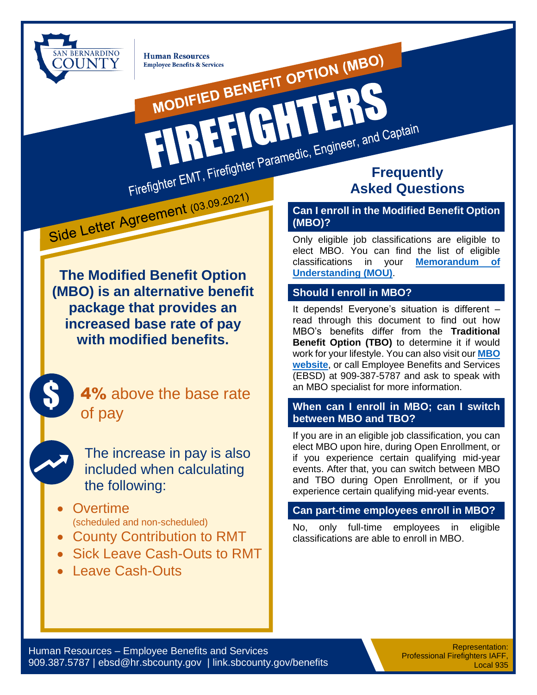

MODIFIED BENEFIT OPTION (MBO) **Human Resources Employee Benefits & Services** 

**The Modified Benefit Option (MBO) is an alternative benefit package that provides an increased base rate of pay with modified benefits.**

Firefigner.<br>Side Letter Agreement (03.09.2021)



\$

The increase in pay is also included when calculating the following:

- **Overtime** (scheduled and non-scheduled)
- County Contribution to RMT
- Sick Leave Cash-Outs to RMT
- Leave Cash-Outs

# Firefighter EMT, Firefighter Paramedic, Engineer, and Captain **Asked Questions**

#### **Can I enroll in the Modified Benefit Option (MBO)?**

Only eligible job classifications are eligible to elect MBO. You can find the list of eligible classifications in your **[Memorandum of](https://hr.sbcounty.gov/memorandas-of-understanding/)  [Understanding \(MOU\)](https://hr.sbcounty.gov/memorandas-of-understanding/)**.

#### **Should I enroll in MBO?**

RHT

It depends! Everyone's situation is different – read through this document to find out how MBO's benefits differ from the **Traditional Benefit Option (TBO)** to determine it if would work for your lifestyle. You can also visit our **[MBO](https://hr.sbcounty.gov/employee-benefits/modified-benefit-option/)  [website](https://hr.sbcounty.gov/employee-benefits/modified-benefit-option/)**, or call Employee Benefits and Services (EBSD) at 909-387-5787 and ask to speak with an MBO specialist for more information.

#### **When can I enroll in MBO; can I switch between MBO and TBO?**

If you are in an eligible job classification, you can elect MBO upon hire, during Open Enrollment, or if you experience certain qualifying mid-year events. After that, you can switch between MBO and TBO during Open Enrollment, or if you experience certain qualifying mid-year events.

#### **Can part-time employees enroll in MBO?**

No, only full-time employees in eligible classifications are able to enroll in MBO.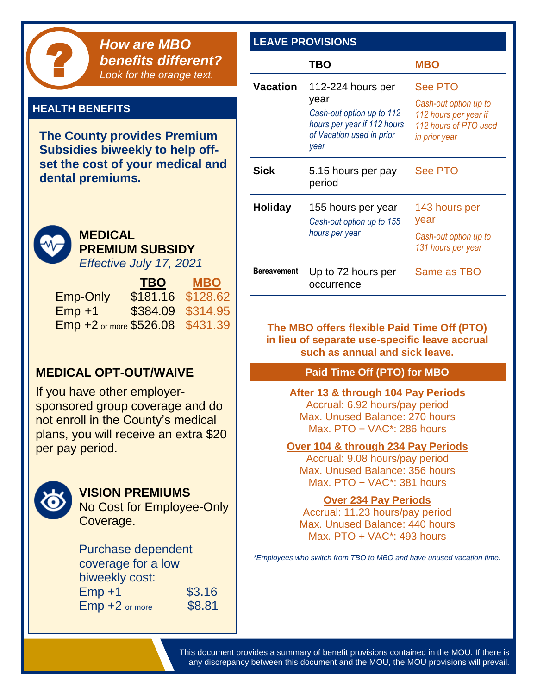

#### **HEALTH BENEFITS**

**The County provides Premium Subsidies biweekly to help offset the cost of your medical and dental premiums.**



### **MEDICAL PREMIUM SUBSIDY**

*Effective July 17, 2021*

|                                  | <b>TBO</b>        | <b>MBO</b> |
|----------------------------------|-------------------|------------|
| <b>Emp-Only</b>                  | \$181.16 \$128.62 |            |
| $Emp + 1$                        | \$384.09 \$314.95 |            |
| Emp +2 or more \$526.08 \$431.39 |                   |            |

#### **MEDICAL OPT-OUT/WAIVE**

If you have other employersponsored group coverage and do not enroll in the County's medical plans, you will receive an extra \$20 per pay period.



#### **VISION PREMIUMS**

No Cost for Employee-Only Coverage.

#### Purchase dependent coverage for a low biweekly cost:  $Emp +1$  \$3.16

**Emp +2** or more \$8.81

| <b>LEAVE PROVISIONS</b> |                                                                                                                            |                                                                                                            |
|-------------------------|----------------------------------------------------------------------------------------------------------------------------|------------------------------------------------------------------------------------------------------------|
|                         | <b>TBO</b>                                                                                                                 | <b>MBO</b>                                                                                                 |
| <b>Vacation</b>         | 112-224 hours per<br>year<br>Cash-out option up to 112<br>hours per year if 112 hours<br>of Vacation used in prior<br>year | <b>See PTO</b><br>Cash-out option up to<br>112 hours per year if<br>112 hours of PTO used<br>in prior year |
| Sick                    | 5.15 hours per pay<br>period                                                                                               | <b>See PTO</b>                                                                                             |
| <b>Holiday</b>          | 155 hours per year<br>Cash-out option up to 155<br>hours per year                                                          | 143 hours per<br>year<br>Cash-out option up to<br>131 hours per year                                       |
| <b>Bereavement</b>      | Up to 72 hours per<br>occurrence                                                                                           | Same as TBO                                                                                                |

**The MBO offers flexible Paid Time Off (PTO) in lieu of separate use-specific leave accrual such as annual and sick leave.**

#### **Paid Time Off (PTO) for MBO**

#### **After 13 & through 104 Pay Periods**

Accrual: 6.92 hours/pay period Max. Unused Balance: 270 hours Max. PTO + VAC\*: 286 hours

#### **Over 104 & through 234 Pay Periods**

Accrual: 9.08 hours/pay period Max. Unused Balance: 356 hours Max. PTO + VAC\*: 381 hours

#### **Over 234 Pay Periods**

Accrual: 11.23 hours/pay period Max. Unused Balance: 440 hours Max. PTO + VAC\*: 493 hours

*\*Employees who switch from TBO to MBO and have unused vacation time.*

This document provides a summary of benefit provisions contained in the MOU. If there is any discrepancy between this document and the MOU, the MOU provisions will prevail.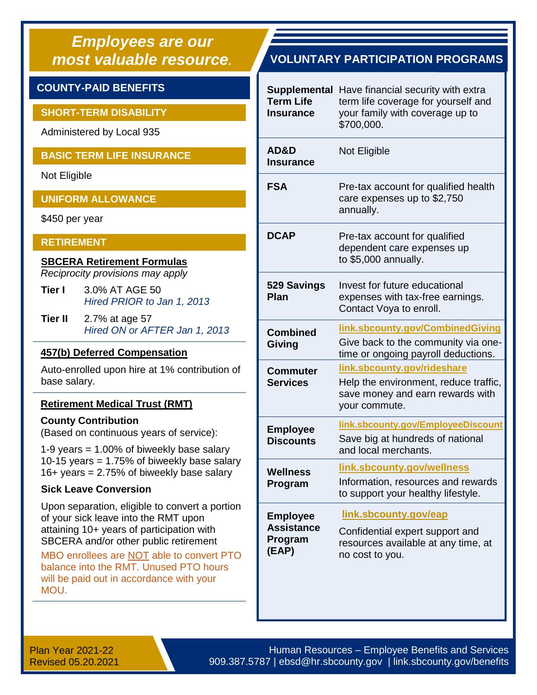# *Employees are our*

#### **COUNTY-PAID BENEFITS**

#### **SHORT-TERM DISABILITY**

Administered by Local 935

#### **BASIC TERM LIFE INSURANCE**

Not Eligible

#### **UNIFORM ALLOWANCE**

\$450 per year

#### **RETIREMENT**

#### **SBCERA Retirement Formulas**

*Reciprocity provisions may apply*

- **Tier I** 3.0% AT AGE 50 *Hired PRIOR to Jan 1, 2013*
- **Tier II** 2.7% at age 57 *Hired ON or AFTER Jan 1, 2013*

#### **457(b) Deferred Compensation**

Auto-enrolled upon hire at 1% contribution of base salary.

#### **Retirement Medical Trust (RMT)**

#### **County Contribution**

(Based on continuous years of service):

1-9 years = 1.00% of biweekly base salary 10-15 years = 1.75% of biweekly base salary  $16+$  years = 2.75% of biweekly base salary

#### **Sick Leave Conversion**

Upon separation, eligible to convert a portion of your sick leave into the RMT upon attaining 10+ years of participation with SBCERA and/or other public retirement

MBO enrollees are NOT able to convert PTO balance into the RMT. Unused PTO hours will be paid out in accordance with your MOU.

#### *most valuable resource.* **VOLUNTARY PARTICIPATION PROGRAMS**

| Supplemental<br>Term Life<br><b>Insurance</b>            | Have financial security with extra<br>term life coverage for yourself and<br>your family with coverage up to<br>\$700,000. |
|----------------------------------------------------------|----------------------------------------------------------------------------------------------------------------------------|
| AD&D<br><b>Insurance</b>                                 | Not Eligible                                                                                                               |
| <b>FSA</b>                                               | Pre-tax account for qualified health<br>care expenses up to \$2,750<br>annually.                                           |
| <b>DCAP</b>                                              | Pre-tax account for qualified<br>dependent care expenses up<br>to \$5,000 annually.                                        |
| 529 Savings<br>Plan                                      | Invest for future educational<br>expenses with tax-free earnings.<br>Contact Voya to enroll.                               |
| <b>Combined</b><br>Giving                                | link.sbcounty.gov/CombinedGiving<br>Give back to the community via one-<br>time or ongoing payroll deductions.             |
| Commuter<br><b>Services</b>                              | link.sbcounty.gov/rideshare<br>Help the environment, reduce traffic,<br>save money and earn rewards with<br>your commute.  |
| <b>Employee</b><br><b>Discounts</b>                      | link.sbcounty.gov/EmployeeDiscount<br>Save big at hundreds of national<br>and local merchants.                             |
| Wellness<br>Program                                      | link.sbcounty.gov/wellness<br>Information, resources and rewards<br>to support your healthy lifestyle.                     |
| <b>Employee</b><br><b>Assistance</b><br>Program<br>(EAP) | link.sbcounty.gov/eap<br>Confidential expert support and<br>resources available at any time, at<br>no cost to you.         |